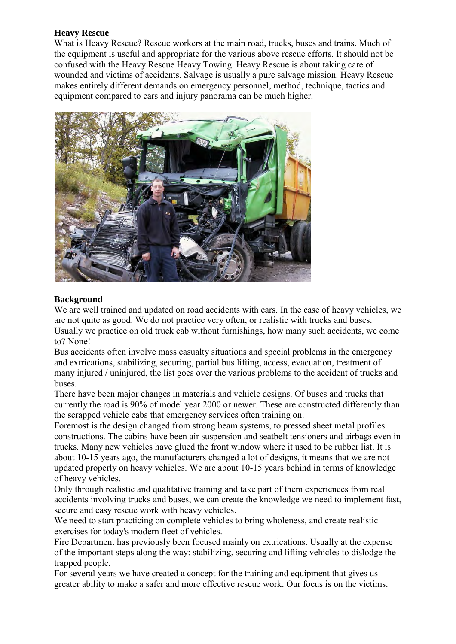## **Heavy Rescue**

What is Heavy Rescue? Rescue workers at the main road, trucks, buses and trains. Much of the equipment is useful and appropriate for the various above rescue efforts. It should not be confused with the Heavy Rescue Heavy Towing. Heavy Rescue is about taking care of wounded and victims of accidents. Salvage is usually a pure salvage mission. Heavy Rescue makes entirely different demands on emergency personnel, method, technique, tactics and equipment compared to cars and injury panorama can be much higher.



## **Background**

We are well trained and updated on road accidents with cars. In the case of heavy vehicles, we are not quite as good. We do not practice very often, or realistic with trucks and buses. Usually we practice on old truck cab without furnishings, how many such accidents, we come to? None!

Bus accidents often involve mass casualty situations and special problems in the emergency and extrications, stabilizing, securing, partial bus lifting, access, evacuation, treatment of many injured / uninjured, the list goes over the various problems to the accident of trucks and buses.

There have been major changes in materials and vehicle designs. Of buses and trucks that currently the road is 90% of model year 2000 or newer. These are constructed differently than the scrapped vehicle cabs that emergency services often training on.

Foremost is the design changed from strong beam systems, to pressed sheet metal profiles constructions. The cabins have been air suspension and seatbelt tensioners and airbags even in trucks. Many new vehicles have glued the front window where it used to be rubber list. It is about 10-15 years ago, the manufacturers changed a lot of designs, it means that we are not updated properly on heavy vehicles. We are about 10-15 years behind in terms of knowledge of heavy vehicles.

Only through realistic and qualitative training and take part of them experiences from real accidents involving trucks and buses, we can create the knowledge we need to implement fast, secure and easy rescue work with heavy vehicles.

We need to start practicing on complete vehicles to bring wholeness, and create realistic exercises for today's modern fleet of vehicles.

Fire Department has previously been focused mainly on extrications. Usually at the expense of the important steps along the way: stabilizing, securing and lifting vehicles to dislodge the trapped people.

For several years we have created a concept for the training and equipment that gives us greater ability to make a safer and more effective rescue work. Our focus is on the victims.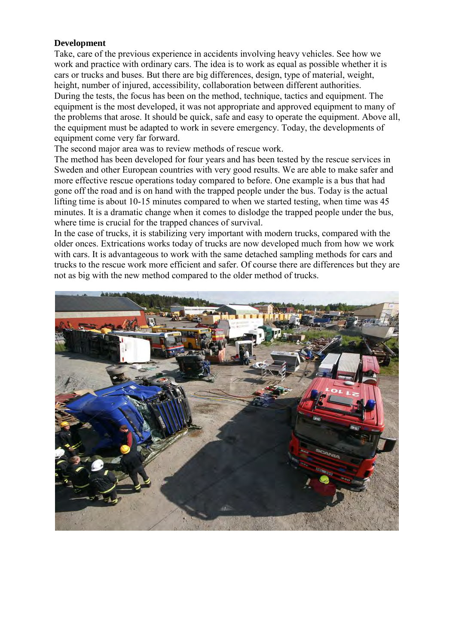### **Development**

Take, care of the previous experience in accidents involving heavy vehicles. See how we work and practice with ordinary cars. The idea is to work as equal as possible whether it is cars or trucks and buses. But there are big differences, design, type of material, weight, height, number of injured, accessibility, collaboration between different authorities. During the tests, the focus has been on the method, technique, tactics and equipment. The equipment is the most developed, it was not appropriate and approved equipment to many of the problems that arose. It should be quick, safe and easy to operate the equipment. Above all, the equipment must be adapted to work in severe emergency. Today, the developments of equipment come very far forward.

The second major area was to review methods of rescue work.

The method has been developed for four years and has been tested by the rescue services in Sweden and other European countries with very good results. We are able to make safer and more effective rescue operations today compared to before. One example is a bus that had gone off the road and is on hand with the trapped people under the bus. Today is the actual lifting time is about 10-15 minutes compared to when we started testing, when time was 45 minutes. It is a dramatic change when it comes to dislodge the trapped people under the bus, where time is crucial for the trapped chances of survival.

In the case of trucks, it is stabilizing very important with modern trucks, compared with the older onces. Extrications works today of trucks are now developed much from how we work with cars. It is advantageous to work with the same detached sampling methods for cars and trucks to the rescue work more efficient and safer. Of course there are differences but they are not as big with the new method compared to the older method of trucks.

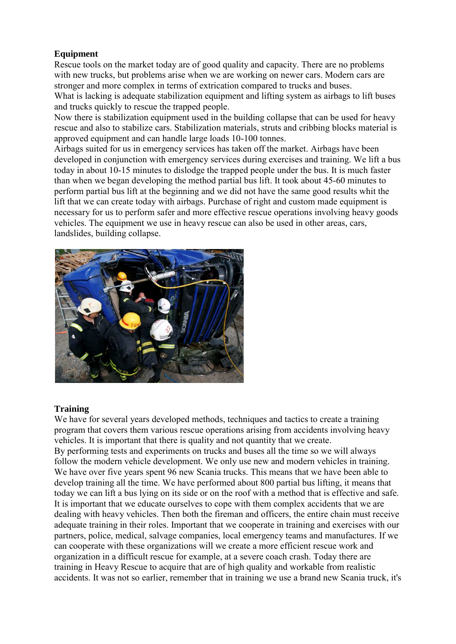# **Equipment**

Rescue tools on the market today are of good quality and capacity. There are no problems with new trucks, but problems arise when we are working on newer cars. Modern cars are stronger and more complex in terms of extrication compared to trucks and buses.

What is lacking is adequate stabilization equipment and lifting system as airbags to lift buses and trucks quickly to rescue the trapped people.

Now there is stabilization equipment used in the building collapse that can be used for heavy rescue and also to stabilize cars. Stabilization materials, struts and cribbing blocks material is approved equipment and can handle large loads 10-100 tonnes.

Airbags suited for us in emergency services has taken off the market. Airbags have been developed in conjunction with emergency services during exercises and training. We lift a bus today in about 10-15 minutes to dislodge the trapped people under the bus. It is much faster than when we began developing the method partial bus lift. It took about 45-60 minutes to perform partial bus lift at the beginning and we did not have the same good results whit the lift that we can create today with airbags. Purchase of right and custom made equipment is necessary for us to perform safer and more effective rescue operations involving heavy goods vehicles. The equipment we use in heavy rescue can also be used in other areas, cars, landslides, building collapse.



## **Training**

We have for several years developed methods, techniques and tactics to create a training program that covers them various rescue operations arising from accidents involving heavy vehicles. It is important that there is quality and not quantity that we create. By performing tests and experiments on trucks and buses all the time so we will always follow the modern vehicle development. We only use new and modern vehicles in training. We have over five years spent 96 new Scania trucks. This means that we have been able to develop training all the time. We have performed about 800 partial bus lifting, it means that today we can lift a bus lying on its side or on the roof with a method that is effective and safe. It is important that we educate ourselves to cope with them complex accidents that we are dealing with heavy vehicles. Then both the fireman and officers, the entire chain must receive adequate training in their roles. Important that we cooperate in training and exercises with our partners, police, medical, salvage companies, local emergency teams and manufactures. If we can cooperate with these organizations will we create a more efficient rescue work and organization in a difficult rescue for example, at a severe coach crash. Today there are training in Heavy Rescue to acquire that are of high quality and workable from realistic accidents. It was not so earlier, remember that in training we use a brand new Scania truck, it's